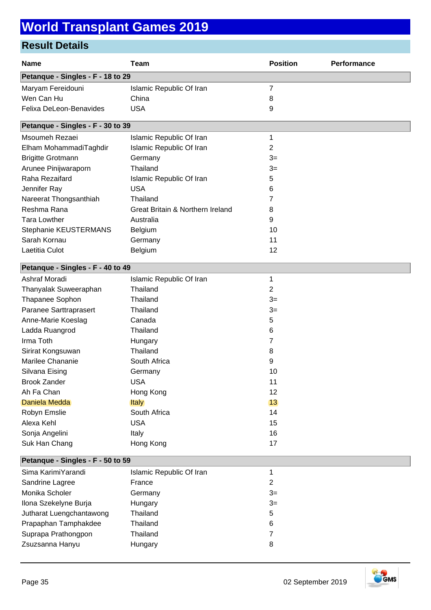| <b>Name</b>                       | <b>Team</b>                      | <b>Position</b> | Performance |
|-----------------------------------|----------------------------------|-----------------|-------------|
| Petanque - Singles - F - 18 to 29 |                                  |                 |             |
| Maryam Fereidouni                 | Islamic Republic Of Iran         | 7               |             |
| Wen Can Hu                        | China                            | 8               |             |
| Felixa DeLeon-Benavides           | <b>USA</b>                       | 9               |             |
| Petanque - Singles - F - 30 to 39 |                                  |                 |             |
| Msoumeh Rezaei                    | Islamic Republic Of Iran         | 1               |             |
| Elham MohammadiTaghdir            | Islamic Republic Of Iran         | $\overline{c}$  |             |
| <b>Brigitte Grotmann</b>          | Germany                          | $3=$            |             |
| Arunee Pinijwaraporn              | Thailand                         | $3=$            |             |
| Raha Rezaifard                    | Islamic Republic Of Iran         | 5               |             |
| Jennifer Ray                      | <b>USA</b>                       | 6               |             |
| Nareerat Thongsanthiah            | Thailand                         | 7               |             |
| Reshma Rana                       | Great Britain & Northern Ireland | 8               |             |
| <b>Tara Lowther</b>               | Australia                        | 9               |             |
| Stephanie KEUSTERMANS             | Belgium                          | 10              |             |
| Sarah Kornau                      | Germany                          | 11              |             |
| Laetitia Culot                    | Belgium                          | 12              |             |
| Petanque - Singles - F - 40 to 49 |                                  |                 |             |
| Ashraf Moradi                     | Islamic Republic Of Iran         | 1               |             |
| Thanyalak Suweeraphan             | Thailand                         | 2               |             |
| Thapanee Sophon                   | Thailand                         | $3=$            |             |
| Paranee Sarttraprasert            | Thailand                         | $3=$            |             |
| Anne-Marie Koeslag                | Canada                           | 5               |             |
| Ladda Ruangrod                    | Thailand                         | 6               |             |
| Irma Toth                         | Hungary                          | 7               |             |
| Sirirat Kongsuwan                 | Thailand                         | 8               |             |
| Marilee Chananie                  | South Africa                     | 9               |             |
| Silvana Eising                    | Germany                          | 10              |             |
| <b>Brook Zander</b>               | USA                              | 11              |             |
| Ah Fa Chan                        | Hong Kong                        | 12              |             |
| Daniela Medda                     | <b>Italy</b>                     | 13              |             |
| Robyn Emslie                      | South Africa                     | 14              |             |
| Alexa Kehl                        | <b>USA</b>                       | 15              |             |
| Sonja Angelini                    | Italy                            | 16              |             |
| Suk Han Chang                     | Hong Kong                        | 17              |             |
| Petanque - Singles - F - 50 to 59 |                                  |                 |             |
| Sima KarimiYarandi                | Islamic Republic Of Iran         | 1               |             |
| Sandrine Lagree                   | France                           | $\overline{c}$  |             |
| Monika Scholer                    | Germany                          | $3=$            |             |
| Ilona Szekelyne Burja             | Hungary                          | $3=$            |             |
| Jutharat Luengchantawong          | Thailand                         | 5               |             |
| Prapaphan Tamphakdee              | Thailand                         | 6               |             |
| Suprapa Prathongpon               | Thailand                         | 7               |             |
| Zsuzsanna Hanyu                   | Hungary                          | 8               |             |

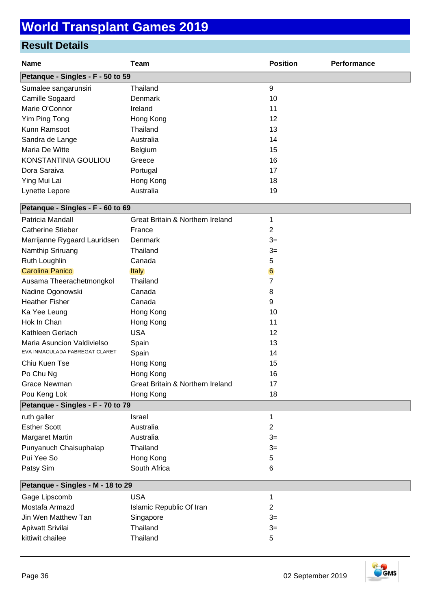| <b>Name</b>                       | <b>Team</b>                      | <b>Position</b> | Performance |
|-----------------------------------|----------------------------------|-----------------|-------------|
| Petanque - Singles - F - 50 to 59 |                                  |                 |             |
| Sumalee sangarunsiri              | Thailand                         | 9               |             |
| Camille Sogaard                   | Denmark                          | 10              |             |
| Marie O'Connor                    | Ireland                          | 11              |             |
| Yim Ping Tong                     | Hong Kong                        | 12              |             |
| Kunn Ramsoot                      | Thailand                         | 13              |             |
| Sandra de Lange                   | Australia                        | 14              |             |
| Maria De Witte                    | Belgium                          | 15              |             |
| KONSTANTINIA GOULIOU              | Greece                           | 16              |             |
| Dora Saraiva                      | Portugal                         | 17              |             |
| Ying Mui Lai                      | Hong Kong                        | 18              |             |
| Lynette Lepore                    | Australia                        | 19              |             |
| Petanque - Singles - F - 60 to 69 |                                  |                 |             |
| Patricia Mandall                  | Great Britain & Northern Ireland | 1               |             |
| <b>Catherine Stieber</b>          | France                           | $\overline{2}$  |             |
| Marrijanne Rygaard Lauridsen      | Denmark                          | $3=$            |             |
| Namthip Sriruang                  | Thailand                         | $3=$            |             |
| Ruth Loughlin                     | Canada                           | 5               |             |
| <b>Carolina Panico</b>            | Italy                            | $6\phantom{.}6$ |             |
| Ausama Theerachetmongkol          | Thailand                         | 7               |             |
| Nadine Ogonowski                  | Canada                           | 8               |             |
| <b>Heather Fisher</b>             | Canada                           | 9               |             |
| Ka Yee Leung                      | Hong Kong                        | 10              |             |
| Hok In Chan                       | Hong Kong                        | 11              |             |
| Kathleen Gerlach                  | <b>USA</b>                       | 12              |             |
| Maria Asuncion Valdivielso        | Spain                            | 13              |             |
| EVA INMACULADA FABREGAT CLARET    | Spain                            | 14              |             |
| Chiu Kuen Tse                     | Hong Kong                        | 15              |             |
| Po Chu Ng                         | Hong Kong                        | 16              |             |
| <b>Grace Newman</b>               | Great Britain & Northern Ireland | 17              |             |
| Pou Keng Lok                      | Hong Kong                        | 18              |             |
| Petanque - Singles - F - 70 to 79 |                                  |                 |             |
| ruth galler                       | Israel                           | 1               |             |
| <b>Esther Scott</b>               | Australia                        | 2               |             |
| Margaret Martin                   | Australia                        | $3=$            |             |
| Punyanuch Chaisuphalap            | Thailand                         | $3=$            |             |
| Pui Yee So                        | Hong Kong                        | 5               |             |
| Patsy Sim                         | South Africa                     | 6               |             |
| Petanque - Singles - M - 18 to 29 |                                  |                 |             |
| Gage Lipscomb                     | <b>USA</b>                       | 1               |             |
| Mostafa Armazd                    | Islamic Republic Of Iran         | $\overline{2}$  |             |
| Jin Wen Matthew Tan               | Singapore                        | $3=$            |             |
| Apiwatt Srivilai                  | Thailand                         | $3=$            |             |
| kittiwit chailee                  | Thailand                         | 5               |             |

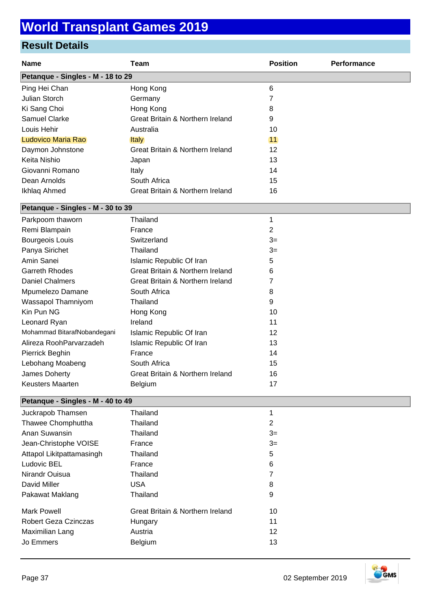### **Result Details**

| <b>Name</b>                       | <b>Team</b>                      | <b>Position</b> | Performance |
|-----------------------------------|----------------------------------|-----------------|-------------|
| Petanque - Singles - M - 18 to 29 |                                  |                 |             |
| Ping Hei Chan                     | Hong Kong                        | $\,6$           |             |
| <b>Julian Storch</b>              | Germany                          | 7               |             |
| Ki Sang Choi                      | Hong Kong                        | 8               |             |
| Samuel Clarke                     | Great Britain & Northern Ireland | 9               |             |
| Louis Hehir                       | Australia                        | 10              |             |
| Ludovico Maria Rao                | <b>Italy</b>                     | 11              |             |
| Daymon Johnstone                  | Great Britain & Northern Ireland | 12              |             |
| Keita Nishio                      | Japan                            | 13              |             |
| Giovanni Romano                   | Italy                            | 14              |             |
| Dean Arnolds                      | South Africa                     | 15              |             |
| Ikhlaq Ahmed                      | Great Britain & Northern Ireland | 16              |             |
| Petanque - Singles - M - 30 to 39 |                                  |                 |             |
| Parkpoom thaworn                  | Thailand                         | 1               |             |
| Remi Blampain                     | France                           | 2               |             |
| Bourgeois Louis                   | Switzerland                      | $3=$            |             |
| Panya Sirichet                    | Thailand                         | $3=$            |             |
| Amin Sanei                        | Islamic Republic Of Iran         | 5               |             |
| <b>Garreth Rhodes</b>             | Great Britain & Northern Ireland | 6               |             |
| <b>Daniel Chalmers</b>            | Great Britain & Northern Ireland | 7               |             |
| Mpumelezo Damane                  | South Africa                     | 8               |             |
| Wassapol Thamniyom                | Thailand                         | 9               |             |
| Kin Pun NG                        | Hong Kong                        | 10              |             |
| Leonard Ryan                      | Ireland                          | 11              |             |
| Mohammad BitarafNobandegani       | Islamic Republic Of Iran         | 12              |             |
| Alireza RoohParvarzadeh           | Islamic Republic Of Iran         | 13              |             |
| Pierrick Beghin                   | France                           | 14              |             |
| Lebohang Moabeng                  | South Africa                     | 15              |             |
| James Doherty                     | Great Britain & Northern Ireland | 16              |             |
| Keusters Maarten                  | Belgium                          | 17              |             |
| Petanque - Singles - M - 40 to 49 |                                  |                 |             |
| Juckrapob Thamsen                 | Thailand                         | 1               |             |
| Thawee Chomphuttha                | Thailand                         | $\overline{2}$  |             |
| Anan Suwansin                     | Thailand                         | $3=$            |             |
| Jean-Christophe VOISE             | France                           | $3=$            |             |
| Attapol Likitpattamasingh         | Thailand                         | 5               |             |
| Ludovic BEL                       | France                           | 6               |             |
| Nirandr Ouisua                    | Thailand                         | 7               |             |
| David Miller                      | <b>USA</b>                       | 8               |             |
| Pakawat Maklang                   | Thailand                         | 9               |             |
| <b>Mark Powell</b>                | Great Britain & Northern Ireland | 10              |             |
| Robert Geza Czinczas              | Hungary                          | 11              |             |
| Maximilian Lang                   | Austria                          | 12              |             |

Jo Emmers **Belgium** Belgium 13

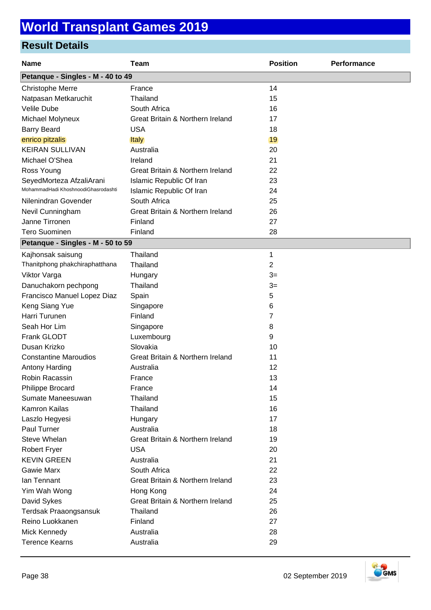| <b>Name</b>                         | <b>Team</b>                      | <b>Position</b> | Performance |  |
|-------------------------------------|----------------------------------|-----------------|-------------|--|
| Petanque - Singles - M - 40 to 49   |                                  |                 |             |  |
| Christophe Merre                    | France                           | 14              |             |  |
| Natpasan Metkaruchit                | Thailand                         | 15              |             |  |
| Velile Dube                         | South Africa                     | 16              |             |  |
| Michael Molyneux                    | Great Britain & Northern Ireland | 17              |             |  |
| <b>Barry Beard</b>                  | <b>USA</b>                       | 18              |             |  |
| enrico pitzalis                     | <b>Italy</b>                     | 19              |             |  |
| <b>KEIRAN SULLIVAN</b>              | Australia                        | 20              |             |  |
| Michael O'Shea                      | Ireland                          | 21              |             |  |
| Ross Young                          | Great Britain & Northern Ireland | 22              |             |  |
| SeyedMorteza AfzaliArani            | Islamic Republic Of Iran         | 23              |             |  |
| MohammadHadi KhoshnoodiGhasrodashti | Islamic Republic Of Iran         | 24              |             |  |
| Nilenindran Govender                | South Africa                     | 25              |             |  |
| Nevil Cunningham                    | Great Britain & Northern Ireland | 26              |             |  |
| Janne Tirronen                      | Finland                          | 27              |             |  |
| <b>Tero Suominen</b>                | Finland                          | 28              |             |  |
| Petanque - Singles - M - 50 to 59   |                                  |                 |             |  |
| Kajhonsak saisung                   | Thailand                         | 1               |             |  |
| Thanitphong phakchiraphatthana      | Thailand                         | 2               |             |  |
| Viktor Varga                        | Hungary                          | $3=$            |             |  |
| Danuchakorn pechpong                | Thailand                         | $3=$            |             |  |
| Francisco Manuel Lopez Diaz         | Spain                            | 5               |             |  |
| Keng Siang Yue                      | Singapore                        | 6               |             |  |
| Harri Turunen                       | Finland                          | 7               |             |  |
| Seah Hor Lim                        | Singapore                        | 8               |             |  |
| Frank GLODT                         | Luxembourg                       | 9               |             |  |
| Dusan Krizko                        | Slovakia                         | 10              |             |  |
| <b>Constantine Maroudios</b>        | Great Britain & Northern Ireland | 11              |             |  |
| <b>Antony Harding</b>               | Australia                        | 12              |             |  |
| Robin Racassin                      | France                           | 13              |             |  |
| <b>Philippe Brocard</b>             | France                           | 14              |             |  |
| Sumate Maneesuwan                   | Thailand                         | 15              |             |  |
| Kamron Kailas                       | Thailand                         | 16              |             |  |
| Laszlo Hegyesi                      | Hungary                          | 17              |             |  |
| Paul Turner                         | Australia                        | 18              |             |  |
| Steve Whelan                        | Great Britain & Northern Ireland | 19              |             |  |
| <b>Robert Fryer</b>                 | <b>USA</b>                       | 20              |             |  |
| <b>KEVIN GREEN</b>                  | Australia                        | 21              |             |  |
| <b>Gawie Marx</b>                   | South Africa                     | 22              |             |  |
| lan Tennant                         | Great Britain & Northern Ireland | 23              |             |  |
| Yim Wah Wong                        | Hong Kong                        | 24              |             |  |
| David Sykes                         | Great Britain & Northern Ireland | 25              |             |  |
| Terdsak Praaongsansuk               | Thailand                         | 26              |             |  |
| Reino Luokkanen                     | Finland                          | 27              |             |  |
| Mick Kennedy                        | Australia                        | 28              |             |  |
| <b>Terence Kearns</b>               | Australia                        | 29              |             |  |

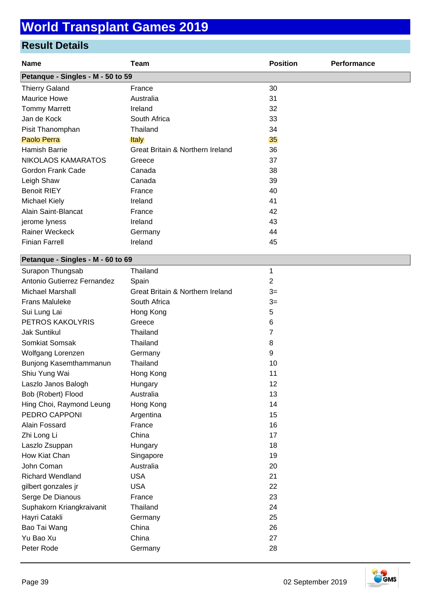#### **Result Details**

| <b>Name</b>                       | <b>Team</b>                                 | <b>Position</b> | Performance |
|-----------------------------------|---------------------------------------------|-----------------|-------------|
| Petanque - Singles - M - 50 to 59 |                                             |                 |             |
| <b>Thierry Galand</b>             | France                                      | 30              |             |
| <b>Maurice Howe</b>               | Australia                                   | 31              |             |
| <b>Tommy Marrett</b>              | Ireland                                     | 32              |             |
| Jan de Kock                       | South Africa                                | 33              |             |
| Pisit Thanomphan                  | Thailand                                    | 34              |             |
| Paolo Perra                       | <b>Italy</b>                                | 35              |             |
| Hamish Barrie                     | <b>Great Britain &amp; Northern Ireland</b> | 36              |             |
| NIKOLAOS KAMARATOS                | Greece                                      | 37              |             |
| Gordon Frank Cade                 | Canada                                      | 38              |             |
| Leigh Shaw                        | Canada                                      | 39              |             |
| <b>Benoit RIEY</b>                | France                                      | 40              |             |
| Michael Kiely                     | Ireland                                     | 41              |             |
| Alain Saint-Blancat               | France                                      | 42              |             |
| jerome lyness                     | Ireland                                     | 43              |             |
| Rainer Weckeck                    | Germany                                     | 44              |             |
| <b>Finian Farrell</b>             | Ireland                                     | 45              |             |
| Petanque - Singles - M - 60 to 69 |                                             |                 |             |
| Surapon Thungsab                  | Thailand                                    | 1               |             |
| Antonio Gutierrez Fernandez       | Spain                                       | $\overline{2}$  |             |
| <b>Michael Marshall</b>           | Great Britain & Northern Ireland            | $3=$            |             |
| <b>Frans Maluleke</b>             | South Africa                                | $3=$            |             |
| Sui Lung Lai                      | Hong Kong                                   | 5               |             |
| PETROS KAKOLYRIS                  | Greece                                      | 6               |             |
| <b>Jak Suntikul</b>               | Thailand                                    | $\overline{7}$  |             |
| Somkiat Somsak                    | Thailand                                    | 8               |             |
| Wolfgang Lorenzen                 | Germany                                     | 9               |             |
| Bunjong Kasemthammanun            | Thailand                                    | 10              |             |
| Shiu Yung Wai                     | Hong Kong                                   | 11              |             |
| Laszlo Janos Balogh               | Hungary                                     | 12              |             |
| Bob (Robert) Flood                | Australia                                   | 13              |             |
| Hing Choi, Raymond Leung          | Hong Kong                                   | 14              |             |
| PEDRO CAPPONI                     | Argentina                                   | 15              |             |
| Alain Fossard                     | France                                      | 16              |             |
| Zhi Long Li                       | China                                       | 17              |             |
| Laszlo Zsuppan                    | Hungary                                     | 18              |             |
| How Kiat Chan                     | Singapore                                   | 19              |             |

| gilbert gonzales jr       | USA      | 22 |
|---------------------------|----------|----|
| Serge De Dianous          | France   | 23 |
| Suphakorn Kriangkraivanit | Thailand | 24 |
| Hayri Catakli             | Germany  | 25 |
| Bao Tai Wang              | China    | 26 |
| Yu Bao Xu                 | China    | 27 |
| Peter Rode                | Germany  | 28 |
|                           |          |    |
|                           |          |    |

John Coman Australia 20 Richard Wendland **USA** 21